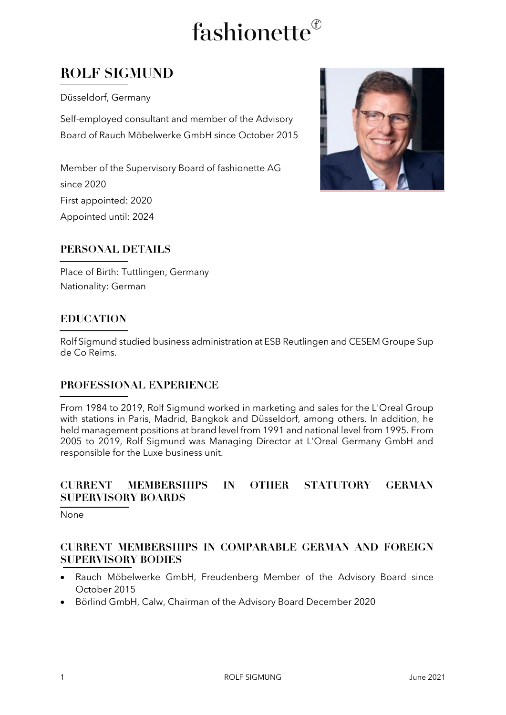# fashionette<sup>®</sup>

### **ROLF SIGMUND**

Düsseldorf, Germany

Self-employed consultant and member of the Advisory Board of Rauch Möbelwerke GmbH since October 2015

Member of the Supervisory Board of fashionette AG since 2020 First appointed: 2020 Appointed until: 2024



#### **PERSONAL DETAILS**

Place of Birth: Tuttlingen, Germany Nationality: German

#### **EDUCATION**

Rolf Sigmund studied business administration at ESB Reutlingen and CESEM Groupe Sup de Co Reims.

#### **PROFESSIONAL EXPERIENCE**

From 1984 to 2019, Rolf Sigmund worked in marketing and sales for the L'Oreal Group with stations in Paris, Madrid, Bangkok and Düsseldorf, among others. In addition, he held management positions at brand level from 1991 and national level from 1995. From 2005 to 2019, Rolf Sigmund was Managing Director at L'Oreal Germany GmbH and responsible for the Luxe business unit.

#### **CURRENT MEMBERSHIPS IN OTHER STATUTORY GERMAN SUPERVISORY BOARDS**

None

#### **CURRENT MEMBERSHIPS IN COMPARABLE GERMAN AND FOREIGN SUPERVISORY BODIES**

- Rauch Möbelwerke GmbH, Freudenberg Member of the Advisory Board since October 2015
- Börlind GmbH, Calw, Chairman of the Advisory Board December 2020